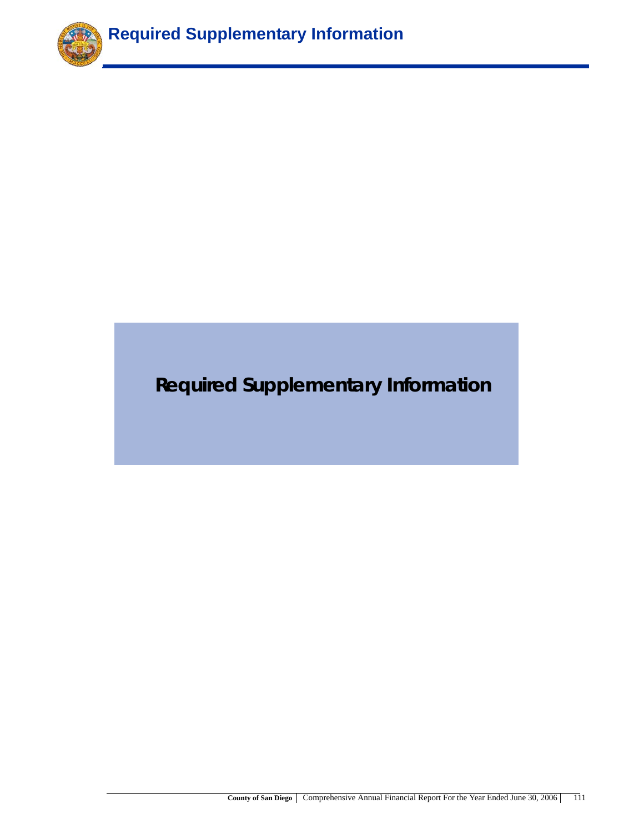

# **Required Supplementary Information**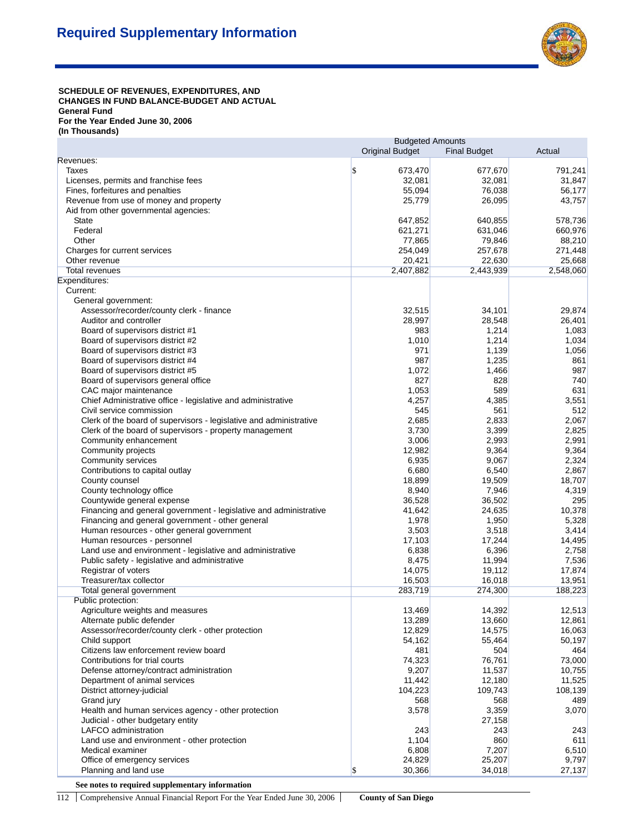

#### SCHEDULE OF REVENUES, EXPENDITURES, AND **CHANGES IN FUND BALANCE-BUDGET AND ACTUAL General Fund For the Year Ended June 30, 2006 (In Thousands)**

|                                                                                                             | <b>Budgeted Amounts</b>             |                 |                     |  |
|-------------------------------------------------------------------------------------------------------------|-------------------------------------|-----------------|---------------------|--|
|                                                                                                             | <b>Original Budget</b>              |                 | Actual              |  |
| Revenues:                                                                                                   |                                     |                 |                     |  |
| Taxes                                                                                                       | \$<br>673,470                       | 677,670         | 791,241             |  |
| Licenses, permits and franchise fees                                                                        | 32,081                              | 32,081          | 31,847              |  |
| Fines, forfeitures and penalties                                                                            | 55,094                              | 76,038          | 56,177              |  |
| Revenue from use of money and property                                                                      | 25,779                              | 26,095          | 43,757              |  |
| Aid from other governmental agencies:                                                                       |                                     |                 |                     |  |
| <b>State</b>                                                                                                | 647,852                             | 640,855         | 578,736             |  |
| Federal                                                                                                     | 621,271                             | 631,046         | 660,976             |  |
| Other                                                                                                       | 77,865                              | 79,846          | 88,210              |  |
| Charges for current services                                                                                | 254,049                             | 257,678         | 271,448             |  |
| Other revenue                                                                                               | 20,421                              | 22,630          | 25,668<br>2,548,060 |  |
| <b>Total revenues</b>                                                                                       | 2,407,882                           | 2,443,939       |                     |  |
| Expenditures:<br>Current:                                                                                   |                                     |                 |                     |  |
|                                                                                                             |                                     |                 |                     |  |
| General government:                                                                                         | 32,515                              | 34,101          | 29,874              |  |
| Assessor/recorder/county clerk - finance                                                                    | 28,997                              | 28,548          |                     |  |
| Auditor and controller                                                                                      | 983                                 | 1,214           | 26,401              |  |
| Board of supervisors district #1                                                                            |                                     |                 | 1,083               |  |
| Board of supervisors district #2                                                                            | 1,010                               | 1,214           | 1,034               |  |
| Board of supervisors district #3                                                                            | 971                                 | 1,139           | 1,056               |  |
| Board of supervisors district #4                                                                            | 987                                 | 1,235           | 861                 |  |
| Board of supervisors district #5                                                                            | 1,072                               | 1,466           | 987                 |  |
| Board of supervisors general office                                                                         | 827                                 | 828             | 740                 |  |
| CAC major maintenance                                                                                       | 1,053                               | 589             | 631                 |  |
| Chief Administrative office - legislative and administrative                                                | 4,257                               | 4,385           | 3,551               |  |
| Civil service commission                                                                                    | 545                                 | 561             | 512                 |  |
| Clerk of the board of supervisors - legislative and administrative                                          | 2,685                               | 2,833           | 2,067               |  |
| Clerk of the board of supervisors - property management                                                     | 3,730                               | 3,399           | 2,825               |  |
| Community enhancement                                                                                       | 3,006                               | 2,993           | 2,991               |  |
| Community projects                                                                                          | 12,982                              | 9,364           | 9,364               |  |
| Community services                                                                                          | 6,935                               | 9,067           | 2,324               |  |
| Contributions to capital outlay                                                                             | 6,680                               | 6,540           | 2,867               |  |
| County counsel                                                                                              | 18,899                              | 19,509          | 18,707              |  |
| County technology office                                                                                    | 8,940                               | 7,946           | 4,319               |  |
| Countywide general expense                                                                                  | 36,528                              | 36,502          | 295                 |  |
| Financing and general government - legislative and administrative                                           | 41,642                              | 24,635          | 10,378              |  |
| Financing and general government - other general                                                            | 1,978<br>3,503                      | 1,950           | 5,328               |  |
| Human resources - other general government                                                                  |                                     | 3,518           | 3,414               |  |
| Human resources - personnel                                                                                 | 17,103                              | 17,244          | 14,495              |  |
| Land use and environment - legislative and administrative<br>Public safety - legislative and administrative | 6,838<br>8,475                      | 6,396<br>11,994 | 2,758<br>7,536      |  |
| Registrar of voters                                                                                         | 14,075                              | 19,112          | 17,874              |  |
| Treasurer/tax collector                                                                                     | 16,503                              | 16,018          | 13,951              |  |
| Total general government                                                                                    | 283,719                             | 274,300         | 188,223             |  |
| Public protection:                                                                                          |                                     |                 |                     |  |
| Agriculture weights and measures                                                                            | 13,469                              | 14,392          | 12,513              |  |
| Alternate public defender                                                                                   | 13,289                              | 13,660          | 12,861              |  |
| Assessor/recorder/county clerk - other protection                                                           | 12,829                              | 14,575          | 16,063              |  |
| Child support                                                                                               | 54,162                              | 55,464          | 50,197              |  |
| Citizens law enforcement review board                                                                       | 481                                 | 504             | 464                 |  |
| Contributions for trial courts                                                                              | 74,323                              | 76,761          | 73,000              |  |
| Defense attorney/contract administration                                                                    | 9,207                               | 11,537          | 10,755              |  |
| Department of animal services                                                                               | 11,442                              | 12,180          | 11,525              |  |
| District attorney-judicial                                                                                  | 104,223                             | 109,743         | 108,139             |  |
| Grand jury                                                                                                  | 568                                 | 568             | 489                 |  |
| Health and human services agency - other protection                                                         | 3,578                               | 3,359           | 3,070               |  |
| Judicial - other budgetary entity                                                                           |                                     | 27,158          |                     |  |
| LAFCO administration                                                                                        | 243                                 | 243             | 243                 |  |
| Land use and environment - other protection                                                                 | 1,104                               | 860             | 611                 |  |
| Medical examiner                                                                                            | 6,808                               | 7,207           | 6,510               |  |
| Office of emergency services                                                                                | 24,829                              | 25,207          | 9,797               |  |
| Planning and land use                                                                                       | $\boldsymbol{\mathsf{S}}$<br>30,366 | 34,018          | 27,137              |  |
|                                                                                                             |                                     |                 |                     |  |

**See notes to required supplementary information**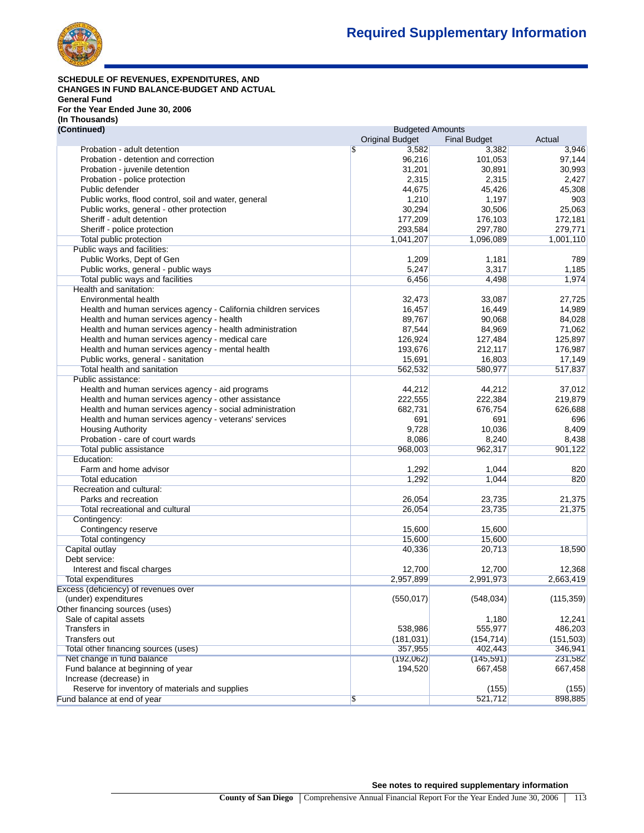

#### **SCHEDULE OF REVENUES, EXPENDITURES, AND CHANGES IN FUND BALANCE-BUDGET AND ACTUAL General Fund For the Year Ended June 30, 2006 (In Thousands)**

| (Continued)                                                     | <b>Budgeted Amounts</b> |                     |            |  |
|-----------------------------------------------------------------|-------------------------|---------------------|------------|--|
|                                                                 | <b>Original Budget</b>  | <b>Final Budget</b> | Actual     |  |
| Probation - adult detention                                     | 3,582<br>\$.            | 3,382               | 3,946      |  |
| Probation - detention and correction                            | 96,216                  | 101,053             | 97,144     |  |
| Probation - juvenile detention                                  | 31,201                  | 30,891              | 30,993     |  |
| Probation - police protection                                   | 2,315                   | 2,315               | 2,427      |  |
| Public defender                                                 | 44.675                  | 45,426              | 45,308     |  |
| Public works, flood control, soil and water, general            | 1,210                   | 1,197               | 903        |  |
| Public works, general - other protection                        | 30,294                  | 30,506              | 25,063     |  |
|                                                                 |                         |                     |            |  |
| Sheriff - adult detention                                       | 177,209                 | 176,103             | 172,181    |  |
| Sheriff - police protection                                     | 293,584                 | 297,780             | 279,771    |  |
| Total public protection                                         | 1,041,207               | 1,096,089           | 1,001,110  |  |
| Public ways and facilities:                                     |                         |                     |            |  |
| Public Works, Dept of Gen                                       | 1,209                   | 1,181               | 789        |  |
| Public works, general - public ways                             | 5,247                   | 3,317               | 1,185      |  |
| Total public ways and facilities                                | 6,456                   | 4,498               | 1,974      |  |
| Health and sanitation:                                          |                         |                     |            |  |
| Environmental health                                            | 32,473                  | 33,087              | 27,725     |  |
| Health and human services agency - California children services | 16,457                  | 16,449              | 14,989     |  |
| Health and human services agency - health                       | 89,767                  | 90,068              | 84,028     |  |
| Health and human services agency - health administration        | 87,544                  | 84,969              | 71,062     |  |
| Health and human services agency - medical care                 | 126,924                 | 127,484             | 125,897    |  |
| Health and human services agency - mental health                | 193,676                 | 212,117             | 176,987    |  |
| Public works, general - sanitation                              | 15,691                  | 16,803              | 17,149     |  |
|                                                                 |                         |                     |            |  |
| Total health and sanitation                                     | 562,532                 | 580,977             | 517,837    |  |
| Public assistance:                                              |                         |                     |            |  |
| Health and human services agency - aid programs                 | 44,212                  | 44,212              | 37,012     |  |
| Health and human services agency - other assistance             | 222,555                 | 222,384             | 219,879    |  |
| Health and human services agency - social administration        | 682,731                 | 676,754             | 626,688    |  |
| Health and human services agency - veterans' services           | 691                     | 691                 | 696        |  |
| <b>Housing Authority</b>                                        | 9,728                   | 10,036              | 8,409      |  |
| Probation - care of court wards                                 | 8,086                   | 8,240               | 8,438      |  |
| <b>Total public assistance</b>                                  | 968,003                 | 962,317             | 901,122    |  |
| Education:                                                      |                         |                     |            |  |
| Farm and home advisor                                           | 1,292                   | 1,044               | 820        |  |
| <b>Total education</b>                                          | 1,292                   | 1,044               | 820        |  |
| Recreation and cultural:                                        |                         |                     |            |  |
| Parks and recreation                                            | 26,054                  | 23,735              | 21,375     |  |
| Total recreational and cultural                                 | 26,054                  | 23,735              | 21,375     |  |
| Contingency:                                                    |                         |                     |            |  |
| Contingency reserve                                             | 15,600                  | 15,600              |            |  |
| <b>Total contingency</b>                                        | 15,600                  | 15,600              |            |  |
| Capital outlay                                                  | 40,336                  | 20,713              | 18,590     |  |
|                                                                 |                         |                     |            |  |
| Debt service:                                                   |                         |                     |            |  |
| Interest and fiscal charges                                     | 12,700                  | 12,700              | 12,368     |  |
| Total expenditures                                              | 2,957,899               | 2,991,973           | 2,663,419  |  |
| Excess (deficiency) of revenues over                            |                         |                     |            |  |
| (under) expenditures                                            | (550, 017)              | (548, 034)          | (115, 359) |  |
| Other financing sources (uses)                                  |                         |                     |            |  |
| Sale of capital assets                                          |                         | 1,180               | 12,241     |  |
| Transfers in                                                    | 538,986                 | 555,977             | 486,203    |  |
| Transfers out                                                   | (181, 031)              | (154, 714)          | (151, 503) |  |
| Total other financing sources (uses)                            | 357,955                 | 402,443             | 346,941    |  |
| Net change in fund balance                                      | (192,062)               | (145, 591)          | 231,582    |  |
| Fund balance at beginning of year                               | 194,520                 | 667,458             | 667,458    |  |
| Increase (decrease) in                                          |                         |                     |            |  |
| Reserve for inventory of materials and supplies                 |                         | (155)               | (155)      |  |
|                                                                 |                         |                     |            |  |
| Fund balance at end of year                                     | \$                      | 521,712             | 898,885    |  |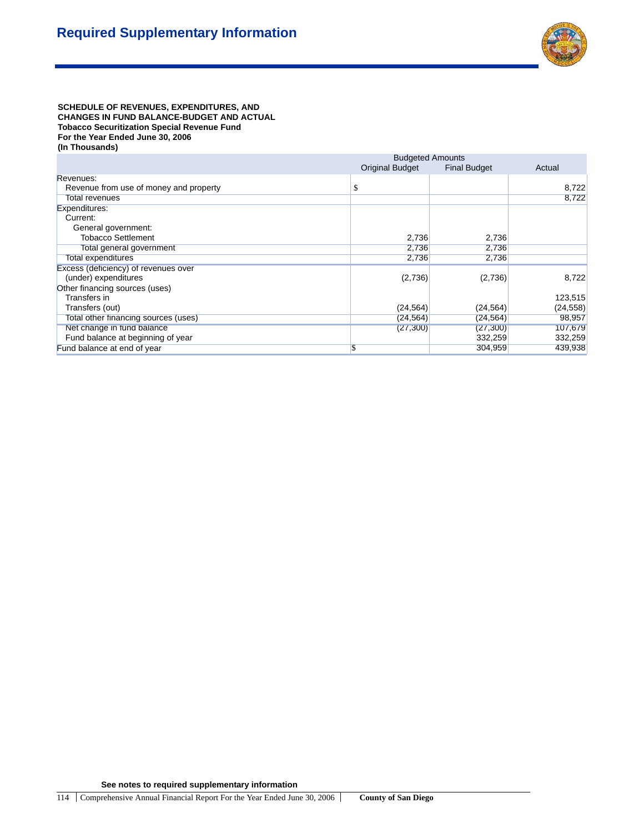

SCHEDULE OF REVENUES, EXPENDITURES, AND **CHANGES IN FUND BALANCE-BUDGET AND ACTUAL Tobacco Securitization Special Revenue Fund For the Year Ended June 30, 2006 (In Thousands)**

|                                        | <b>Budgeted Amounts</b> |                     |           |  |
|----------------------------------------|-------------------------|---------------------|-----------|--|
|                                        | <b>Original Budget</b>  | <b>Final Budget</b> | Actual    |  |
| Revenues:                              |                         |                     |           |  |
| Revenue from use of money and property | \$                      |                     | 8,722     |  |
| Total revenues                         |                         |                     | 8,722     |  |
| Expenditures:                          |                         |                     |           |  |
| Current:                               |                         |                     |           |  |
| General government:                    |                         |                     |           |  |
| <b>Tobacco Settlement</b>              | 2,736                   | 2,736               |           |  |
| Total general government               | 2,736                   | 2,736               |           |  |
| Total expenditures                     | 2,736                   | 2,736               |           |  |
| Excess (deficiency) of revenues over   |                         |                     |           |  |
| (under) expenditures                   | (2,736)                 | (2,736)             | 8,722     |  |
| Other financing sources (uses)         |                         |                     |           |  |
| Transfers in                           |                         |                     | 123,515   |  |
| Transfers (out)                        | (24, 564)               | (24, 564)           | (24, 558) |  |
| Total other financing sources (uses)   | (24, 564)               | (24, 564)           | 98,957    |  |
| Net change in fund balance             | (27, 300)               | (27, 300)           | 107,679   |  |
| Fund balance at beginning of year      |                         | 332,259             | 332,259   |  |
| Fund balance at end of year            | \$                      | 304,959             | 439,938   |  |

**See notes to required supplementary information**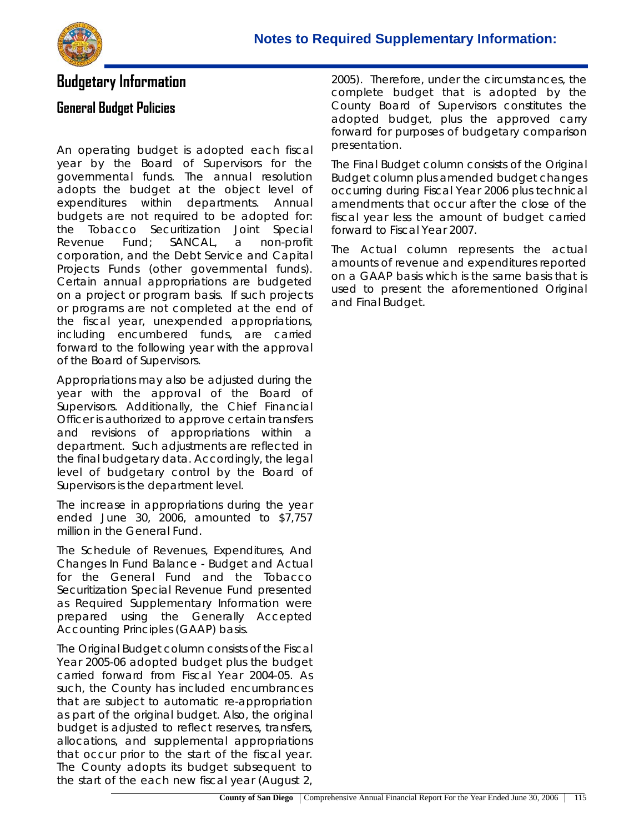

### **Budgetary Information**

### **General Budget Policies**

An operating budget is adopted each fiscal year by the Board of Supervisors for the governmental funds. The annual resolution adopts the budget at the object level of expenditures within departments. Annual budgets are not required to be adopted for: the Tobacco Securitization Joint Special Revenue Fund; SANCAL, a non-profit corporation, and the Debt Service and Capital Projects Funds (other governmental funds). Certain annual appropriations are budgeted on a project or program basis. If such projects or programs are not completed at the end of the fiscal year, unexpended appropriations, including encumbered funds, are carried forward to the following year with the approval of the Board of Supervisors.

Appropriations may also be adjusted during the year with the approval of the Board of Supervisors. Additionally, the Chief Financial Officer is authorized to approve certain transfers and revisions of appropriations within a department. Such adjustments are reflected in the final budgetary data. Accordingly, the legal level of budgetary control by the Board of Supervisors is the department level.

The increase in appropriations during the year ended June 30, 2006, amounted to \$7,757 million in the General Fund.

The Schedule of Revenues, Expenditures, And Changes In Fund Balance - Budget and Actual for the General Fund and the Tobacco Securitization Special Revenue Fund presented as Required Supplementary Information were prepared using the Generally Accepted Accounting Principles (GAAP) basis.

The Original Budget column consists of the Fiscal Year 2005-06 adopted budget plus the budget carried forward from Fiscal Year 2004-05. As such, the County has included encumbrances that are subject to automatic re-appropriation as part of the original budget. Also, the original budget is adjusted to reflect reserves, transfers, allocations, and supplemental appropriations that occur prior to the start of the fiscal year. The County adopts its budget subsequent to the start of the each new fiscal year (August 2,

2005). Therefore, under the circumstances, the complete budget that is adopted by the County Board of Supervisors constitutes the adopted budget, plus the approved carry forward for purposes of budgetary comparison presentation.

The Final Budget column consists of the Original Budget column plus amended budget changes occurring during Fiscal Year 2006 plus technical amendments that occur after the close of the fiscal year less the amount of budget carried forward to Fiscal Year 2007.

The Actual column represents the actual amounts of revenue and expenditures reported on a GAAP basis which is the same basis that is used to present the aforementioned Original and Final Budget.